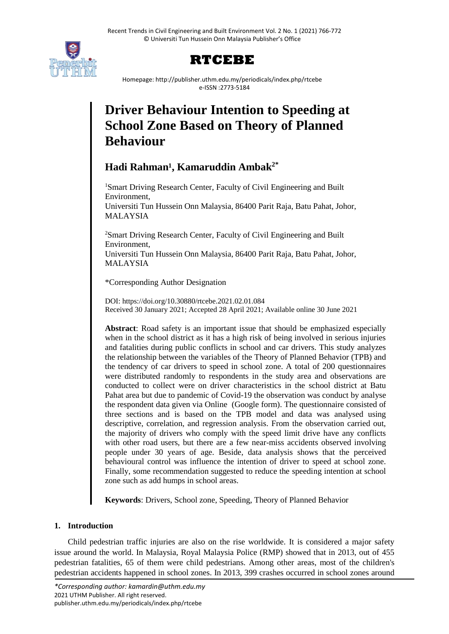



Homepage: http://publisher.uthm.edu.my/periodicals/index.php/rtcebe e-ISSN :2773-5184

# **Driver Behaviour Intention to Speeding at School Zone Based on Theory of Planned Behaviour**

## **Hadi Rahman¹, Kamaruddin Ambak2\***

<sup>1</sup>Smart Driving Research Center, Faculty of Civil Engineering and Built Environment, Universiti Tun Hussein Onn Malaysia, 86400 Parit Raja, Batu Pahat, Johor, MALAYSIA

<sup>2</sup>Smart Driving Research Center, Faculty of Civil Engineering and Built Environment, Universiti Tun Hussein Onn Malaysia, 86400 Parit Raja, Batu Pahat, Johor, MALAYSIA

\*Corresponding Author Designation

DOI: https://doi.org/10.30880/rtcebe.2021.02.01.084 Received 30 January 2021; Accepted 28 April 2021; Available online 30 June 2021

**Abstract**: Road safety is an important issue that should be emphasized especially when in the school district as it has a high risk of being involved in serious injuries and fatalities during public conflicts in school and car drivers. This study analyzes the relationship between the variables of the Theory of Planned Behavior (TPB) and the tendency of car drivers to speed in school zone. A total of 200 questionnaires were distributed randomly to respondents in the study area and observations are conducted to collect were on driver characteristics in the school district at Batu Pahat area but due to pandemic of Covid-19 the observation was conduct by analyse the respondent data given via Online (Google form). The questionnaire consisted of three sections and is based on the TPB model and data was analysed using descriptive, correlation, and regression analysis. From the observation carried out, the majority of drivers who comply with the speed limit drive have any conflicts with other road users, but there are a few near-miss accidents observed involving people under 30 years of age. Beside, data analysis shows that the perceived behavioural control was influence the intention of driver to speed at school zone. Finally, some recommendation suggested to reduce the speeding intention at school zone such as add humps in school areas.

**Keywords**: Drivers, School zone, Speeding, Theory of Planned Behavior

## **1. Introduction**

Child pedestrian traffic injuries are also on the rise worldwide. It is considered a major safety issue around the world. In Malaysia, Royal Malaysia Police (RMP) showed that in 2013, out of 455 pedestrian fatalities, 65 of them were child pedestrians. Among other areas, most of the children's pedestrian accidents happened in school zones. In 2013, 399 crashes occurred in school zones around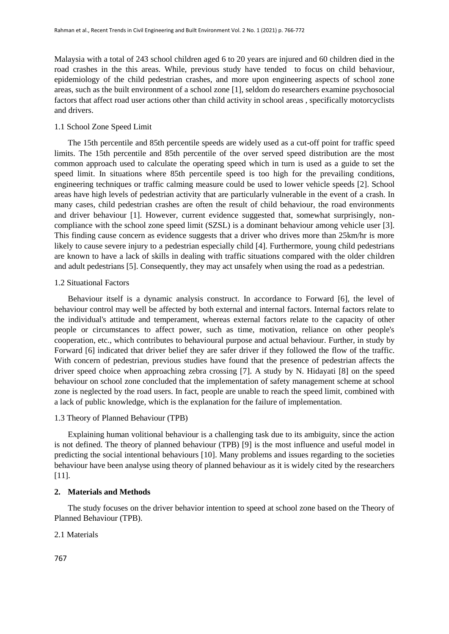Malaysia with a total of 243 school children aged 6 to 20 years are injured and 60 children died in the road crashes in the this areas. While, previous study have tended to focus on child behaviour, epidemiology of the child pedestrian crashes, and more upon engineering aspects of school zone areas, such as the built environment of a school zone [1], seldom do researchers examine psychosocial factors that affect road user actions other than child activity in school areas , specifically motorcyclists and drivers.

#### 1.1 School Zone Speed Limit

The 15th percentile and 85th percentile speeds are widely used as a cut-off point for traffic speed limits. The 15th percentile and 85th percentile of the over served speed distribution are the most common approach used to calculate the operating speed which in turn is used as a guide to set the speed limit. In situations where 85th percentile speed is too high for the prevailing conditions, engineering techniques or traffic calming measure could be used to lower vehicle speeds [2]. School areas have high levels of pedestrian activity that are particularly vulnerable in the event of a crash. In many cases, child pedestrian crashes are often the result of child behaviour, the road environments and driver behaviour [1]. However, current evidence suggested that, somewhat surprisingly, noncompliance with the school zone speed limit (SZSL) is a dominant behaviour among vehicle user [3]. This finding cause concern as evidence suggests that a driver who drives more than 25km/hr is more likely to cause severe injury to a pedestrian especially child [4]. Furthermore, young child pedestrians are known to have a lack of skills in dealing with traffic situations compared with the older children and adult pedestrians [5]. Consequently, they may act unsafely when using the road as a pedestrian.

#### 1.2 Situational Factors

Behaviour itself is a dynamic analysis construct. In accordance to Forward [6], the level of behaviour control may well be affected by both external and internal factors. Internal factors relate to the individual's attitude and temperament, whereas external factors relate to the capacity of other people or circumstances to affect power, such as time, motivation, reliance on other people's cooperation, etc., which contributes to behavioural purpose and actual behaviour. Further, in study by Forward [6] indicated that driver belief they are safer driver if they followed the flow of the traffic. With concern of pedestrian, previous studies have found that the presence of pedestrian affects the driver speed choice when approaching zebra crossing [7]. A study by N. Hidayati [8] on the speed behaviour on school zone concluded that the implementation of safety management scheme at school zone is neglected by the road users. In fact, people are unable to reach the speed limit, combined with a lack of public knowledge, which is the explanation for the failure of implementation.

#### 1.3 Theory of Planned Behaviour (TPB)

Explaining human volitional behaviour is a challenging task due to its ambiguity, since the action is not defined. The theory of planned behaviour (TPB) [9] is the most influence and useful model in predicting the social intentional behaviours [10]. Many problems and issues regarding to the societies behaviour have been analyse using theory of planned behaviour as it is widely cited by the researchers [11].

### **2. Materials and Methods**

The study focuses on the driver behavior intention to speed at school zone based on the Theory of Planned Behaviour (TPB).

#### 2.1 Materials

767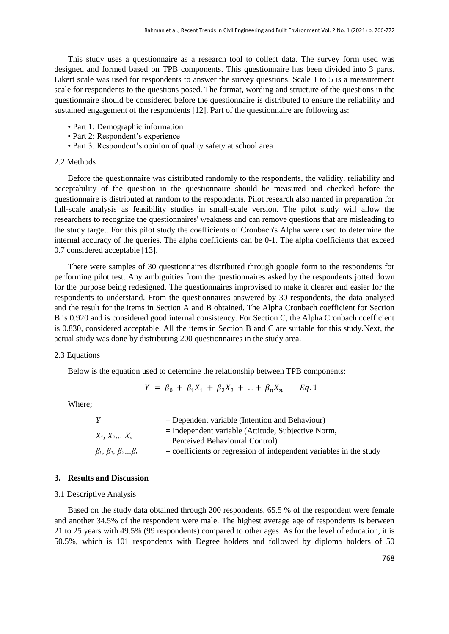This study uses a questionnaire as a research tool to collect data. The survey form used was designed and formed based on TPB components. This questionnaire has been divided into 3 parts. Likert scale was used for respondents to answer the survey questions. Scale 1 to 5 is a measurement scale for respondents to the questions posed. The format, wording and structure of the questions in the questionnaire should be considered before the questionnaire is distributed to ensure the reliability and sustained engagement of the respondents [12]. Part of the questionnaire are following as:

- Part 1: Demographic information
- Part 2: Respondent's experience
- Part 3: Respondent's opinion of quality safety at school area

#### 2.2 Methods

Before the questionnaire was distributed randomly to the respondents, the validity, reliability and acceptability of the question in the questionnaire should be measured and checked before the questionnaire is distributed at random to the respondents. Pilot research also named in preparation for full-scale analysis as feasibility studies in small-scale version. The pilot study will allow the researchers to recognize the questionnaires' weakness and can remove questions that are misleading to the study target. For this pilot study the coefficients of Cronbach's Alpha were used to determine the internal accuracy of the queries. The alpha coefficients can be 0-1. The alpha coefficients that exceed 0.7 considered acceptable [13].

There were samples of 30 questionnaires distributed through google form to the respondents for performing pilot test. Any ambiguities from the questionnaires asked by the respondents jotted down for the purpose being redesigned. The questionnaires improvised to make it clearer and easier for the respondents to understand. From the questionnaires answered by 30 respondents, the data analysed and the result for the items in Section A and B obtained. The Alpha Cronbach coefficient for Section B is 0.920 and is considered good internal consistency. For Section C, the Alpha Cronbach coefficient is 0.830, considered acceptable. All the items in Section B and C are suitable for this study.Next, the actual study was done by distributing 200 questionnaires in the study area.

#### 2.3 Equations

Below is the equation used to determine the relationship between TPB components:

$$
Y = \beta_0 + \beta_1 X_1 + \beta_2 X_2 + \dots + \beta_n X_n \qquad Eq. 1
$$

Where;

|                                    | $=$ Dependent variable (Intention and Behaviour)                     |
|------------------------------------|----------------------------------------------------------------------|
|                                    | $=$ Independent variable (Attitude, Subjective Norm,                 |
| $X_1, X_2, \ldots, X_n$            | Perceived Behavioural Control)                                       |
| $\beta_0, \beta_1, \beta_2\beta_n$ | $=$ coefficients or regression of independent variables in the study |

#### **3. Results and Discussion**

#### 3.1 Descriptive Analysis

Based on the study data obtained through 200 respondents, 65.5 % of the respondent were female and another 34.5% of the respondent were male. The highest average age of respondents is between 21 to 25 years with 49.5% (99 respondents) compared to other ages. As for the level of education, it is 50.5%, which is 101 respondents with Degree holders and followed by diploma holders of 50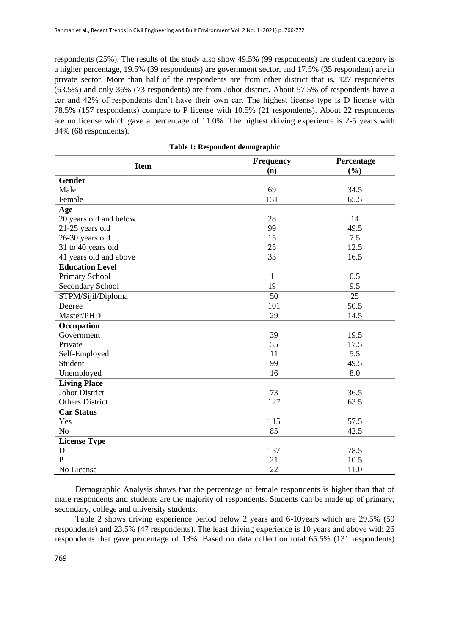respondents (25%). The results of the study also show 49.5% (99 respondents) are student category is a higher percentage, 19.5% (39 respondents) are government sector, and 17.5% (35 respondent) are in private sector. More than half of the respondents are from other district that is, 127 respondents (63.5%) and only 36% (73 respondents) are from Johor district. About 57.5% of respondents have a car and 42% of respondents don't have their own car. The highest license type is D license with 78.5% (157 respondents) compare to P license with 10.5% (21 respondents). About 22 respondents are no license which gave a percentage of 11.0%. The highest driving experience is 2-5 years with 34% (68 respondents).

| <b>Item</b>            | <b>Frequency</b> | Percentage |  |
|------------------------|------------------|------------|--|
|                        | (n)              | (%)        |  |
| <b>Gender</b>          |                  |            |  |
| Male                   | 69               | 34.5       |  |
| Female                 | 131              | 65.5       |  |
| Age                    |                  |            |  |
| 20 years old and below | 28               | 14         |  |
| 21-25 years old        | 99<br>49.5       |            |  |
| 26-30 years old        | 15               | 7.5        |  |
| 31 to 40 years old     | 25               | 12.5       |  |
| 41 years old and above | 33               | 16.5       |  |
| <b>Education Level</b> |                  |            |  |
| Primary School         | 1                | 0.5        |  |
| Secondary School       | 19               | 9.5        |  |
| STPM/Sijil/Diploma     | 50               | 25         |  |
| Degree                 | 101              | 50.5       |  |
| Master/PHD             | 29               | 14.5       |  |
| Occupation             |                  |            |  |
| Government             | 39               | 19.5       |  |
| Private                | 35               | 17.5       |  |
| Self-Employed          | 11               | 5.5        |  |
| Student                | 99               | 49.5       |  |
| Unemployed             | 16               | 8.0        |  |
| <b>Living Place</b>    |                  |            |  |
| <b>Johor District</b>  | 73               | 36.5       |  |
| <b>Others District</b> | 127              | 63.5       |  |
| <b>Car Status</b>      |                  |            |  |
| Yes                    | 115              | 57.5       |  |
| N <sub>o</sub>         | 85               | 42.5       |  |
| <b>License Type</b>    |                  |            |  |
| D                      | 157              | 78.5       |  |
| $\overline{P}$         | 21               | 10.5       |  |
| No License             | 22               | 11.0       |  |

| Table 1: Respondent demographic |  |  |  |  |  |  |
|---------------------------------|--|--|--|--|--|--|
|---------------------------------|--|--|--|--|--|--|

Demographic Analysis shows that the percentage of female respondents is higher than that of male respondents and students are the majority of respondents. Students can be made up of primary, secondary, college and university students.

Table 2 shows driving experience period below 2 years and 6-10years which are 29.5% (59 respondents) and 23.5% (47 respondents). The least driving experience is 10 years and above with 26 respondents that gave percentage of 13%. Based on data collection total 65.5% (131 respondents)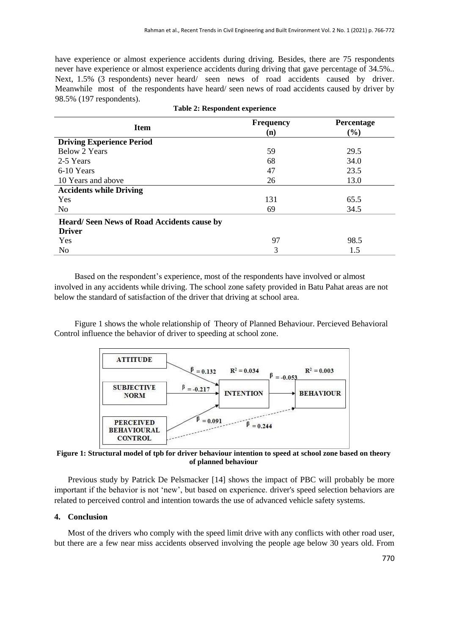have experience or almost experience accidents during driving. Besides, there are 75 respondents never have experience or almost experience accidents during driving that gave percentage of 34.5%.. Next, 1.5% (3 respondents) never heard/ seen news of road accidents caused by driver. Meanwhile most of the respondents have heard/ seen news of road accidents caused by driver by 98.5% (197 respondents).

| <b>Item</b>                                                        | <b>Frequency</b><br>(n) | Percentage<br>$(\%)$ |
|--------------------------------------------------------------------|-------------------------|----------------------|
| <b>Driving Experience Period</b>                                   |                         |                      |
| <b>Below 2 Years</b>                                               | 59                      | 29.5                 |
| 2-5 Years                                                          | 68                      | 34.0                 |
| 6-10 Years                                                         | 47                      | 23.5                 |
| 10 Years and above                                                 | 26                      | 13.0                 |
| <b>Accidents while Driving</b>                                     |                         |                      |
| <b>Yes</b>                                                         | 131                     | 65.5                 |
| N <sub>0</sub>                                                     | 69                      | 34.5                 |
| <b>Heard/Seen News of Road Accidents cause by</b><br><b>Driver</b> |                         |                      |
| Yes                                                                | 97                      | 98.5                 |
| No                                                                 | 3                       | 1.5                  |

|  | <b>Table 2: Respondent experience</b> |  |
|--|---------------------------------------|--|
|--|---------------------------------------|--|

Based on the respondent's experience, most of the respondents have involved or almost involved in any accidents while driving. The school zone safety provided in Batu Pahat areas are not below the standard of satisfaction of the driver that driving at school area.

Figure 1 shows the whole relationship of Theory of Planned Behaviour. Percieved Behavioral Control influence the behavior of driver to speeding at school zone.



**Figure 1: Structural model of tpb for driver behaviour intention to speed at school zone based on theory of planned behaviour**

Previous study by Patrick De Pelsmacker [14] shows the impact of PBC will probably be more important if the behavior is not 'new', but based on experience. driver's speed selection behaviors are related to perceived control and intention towards the use of advanced vehicle safety systems.

## **4. Conclusion**

Most of the drivers who comply with the speed limit drive with any conflicts with other road user, but there are a few near miss accidents observed involving the people age below 30 years old. From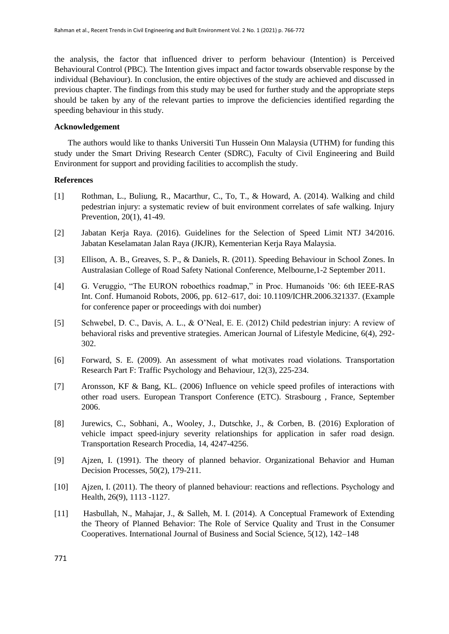the analysis, the factor that influenced driver to perform behaviour (Intention) is Perceived Behavioural Control (PBC). The Intention gives impact and factor towards observable response by the individual (Behaviour). In conclusion, the entire objectives of the study are achieved and discussed in previous chapter. The findings from this study may be used for further study and the appropriate steps should be taken by any of the relevant parties to improve the deficiencies identified regarding the speeding behaviour in this study.

## **Acknowledgement**

The authors would like to thanks Universiti Tun Hussein Onn Malaysia (UTHM) for funding this study under the Smart Driving Research Center (SDRC), Faculty of Civil Engineering and Build Environment for support and providing facilities to accomplish the study.

## **References**

- [1] Rothman, L., Buliung, R., Macarthur, C., To, T., & Howard, A. (2014). Walking and child pedestrian injury: a systematic review of buit environment correlates of safe walking. Injury Prevention, 20(1), 41-49.
- [2] Jabatan Kerja Raya. (2016). Guidelines for the Selection of Speed Limit NTJ 34/2016. Jabatan Keselamatan Jalan Raya (JKJR), Kementerian Kerja Raya Malaysia.
- [3] Ellison, A. B., Greaves, S. P., & Daniels, R. (2011). Speeding Behaviour in School Zones. In Australasian College of Road Safety National Conference, Melbourne,1-2 September 2011.
- [4] G. Veruggio, "The EURON roboethics roadmap," in Proc. Humanoids '06: 6th IEEE-RAS Int. Conf. Humanoid Robots, 2006, pp. 612–617, doi: 10.1109/ICHR.2006.321337. (Example for conference paper or proceedings with doi number)
- [5] Schwebel, D. C., Davis, A. L., & O'Neal, E. E. (2012) Child pedestrian injury: A review of behavioral risks and preventive strategies. American Journal of Lifestyle Medicine, 6(4), 292- 302.
- [6] Forward, S. E. (2009). An assessment of what motivates road violations. Transportation Research Part F: Traffic Psychology and Behaviour, 12(3), 225-234.
- [7] Aronsson, KF & Bang, KL. (2006) Influence on vehicle speed profiles of interactions with other road users. European Transport Conference (ETC). Strasbourg , France, September 2006.
- [8] Jurewics, C., Sobhani, A., Wooley, J., Dutschke, J., & Corben, B. (2016) Exploration of vehicle impact speed-injury severity relationships for application in safer road design. Transportation Research Procedia, 14, 4247-4256.
- [9] Ajzen, I. (1991). The theory of planned behavior. Organizational Behavior and Human Decision Processes, 50(2), 179-211.
- [10] Ajzen, I. (2011). The theory of planned behaviour: reactions and reflections. Psychology and Health, 26(9), 1113 -1127.
- [11] Hasbullah, N., Mahajar, J., & Salleh, M. I. (2014). A Conceptual Framework of Extending the Theory of Planned Behavior: The Role of Service Quality and Trust in the Consumer Cooperatives. International Journal of Business and Social Science, 5(12), 142–148